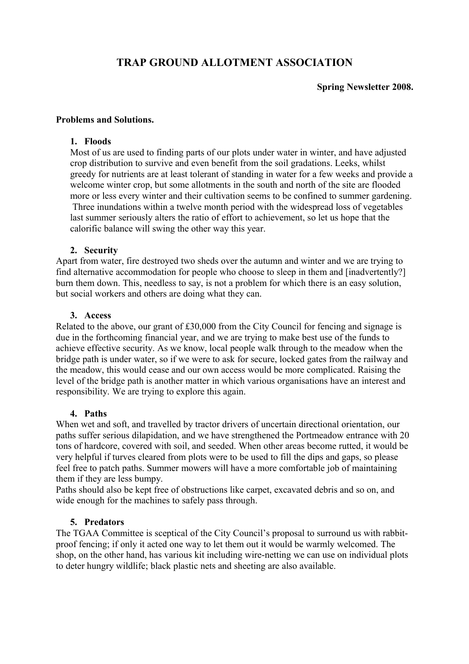# **TRAP GROUND ALLOTMENT ASSOCIATION**

# **Spring Newsletter 2008.**

#### **Problems and Solutions.**

## **1. Floods**

Most of us are used to finding parts of our plots under water in winter, and have adjusted crop distribution to survive and even benefit from the soil gradations. Leeks, whilst greedy for nutrients are at least tolerant of standing in water for a few weeks and provide a welcome winter crop, but some allotments in the south and north of the site are flooded more or less every winter and their cultivation seems to be confined to summer gardening. Three inundations within a twelve month period with the widespread loss of vegetables last summer seriously alters the ratio of effort to achievement, so let us hope that the calorific balance will swing the other way this year.

## **2. Security**

Apart from water, fire destroyed two sheds over the autumn and winter and we are trying to find alternative accommodation for people who choose to sleep in them and [inadvertently?] burn them down. This, needless to say, is not a problem for which there is an easy solution, but social workers and others are doing what they can.

## **3. Access**

Related to the above, our grant of £30,000 from the City Council for fencing and signage is due in the forthcoming financial year, and we are trying to make best use of the funds to achieve effective security. As we know, local people walk through to the meadow when the bridge path is under water, so if we were to ask for secure, locked gates from the railway and the meadow, this would cease and our own access would be more complicated. Raising the level of the bridge path is another matter in which various organisations have an interest and responsibility. We are trying to explore this again.

#### **4. Paths**

When wet and soft, and travelled by tractor drivers of uncertain directional orientation, our paths suffer serious dilapidation, and we have strengthened the Portmeadow entrance with 20 tons of hardcore, covered with soil, and seeded. When other areas become rutted, it would be very helpful if turves cleared from plots were to be used to fill the dips and gaps, so please feel free to patch paths. Summer mowers will have a more comfortable job of maintaining them if they are less bumpy.

Paths should also be kept free of obstructions like carpet, excavated debris and so on, and wide enough for the machines to safely pass through.

#### **5. Predators**

The TGAA Committee is sceptical of the City Council's proposal to surround us with rabbitproof fencing; if only it acted one way to let them out it would be warmly welcomed. The shop, on the other hand, has various kit including wire-netting we can use on individual plots to deter hungry wildlife; black plastic nets and sheeting are also available.